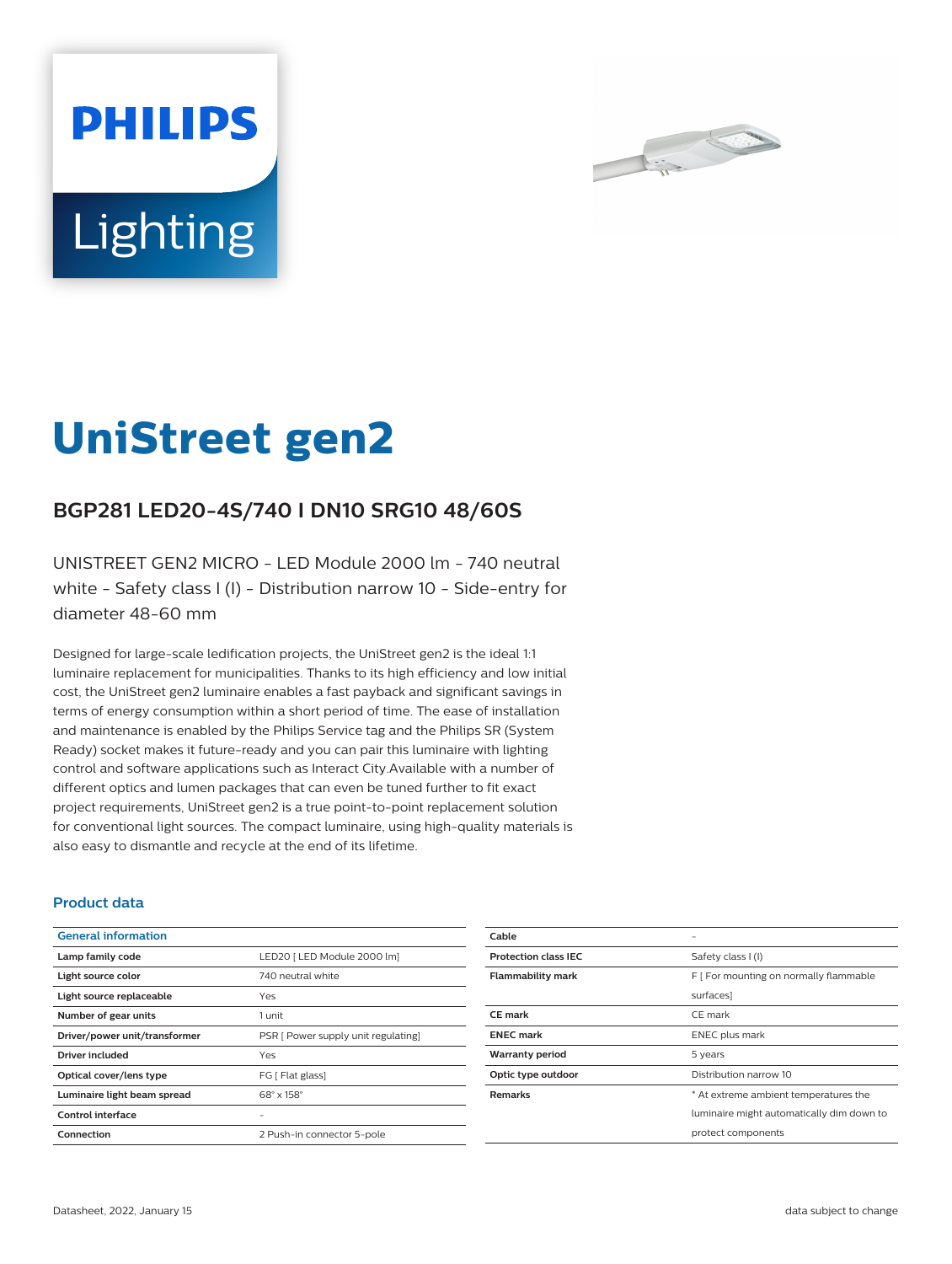



# **UniStreet gen2**

## **BGP281 LED20-4S/740 I DN10 SRG10 48/60S**

UNISTREET GEN2 MICRO - LED Module 2000 lm - 740 neutral white - Safety class I (I) - Distribution narrow 10 - Side-entry for diameter 48-60 mm

Designed for large-scale ledification projects, the UniStreet gen2 is the ideal 1:1 luminaire replacement for municipalities. Thanks to its high efficiency and low initial cost, the UniStreet gen2 luminaire enables a fast payback and significant savings in terms of energy consumption within a short period of time. The ease of installation and maintenance is enabled by the Philips Service tag and the Philips SR (System Ready) socket makes it future-ready and you can pair this luminaire with lighting control and software applications such as Interact City.Available with a number of different optics and lumen packages that can even be tuned further to fit exact project requirements, UniStreet gen2 is a true point-to-point replacement solution for conventional light sources. The compact luminaire, using high-quality materials is also easy to dismantle and recycle at the end of its lifetime.

#### **Product data**

| <b>General information</b>    |                                     |
|-------------------------------|-------------------------------------|
| Lamp family code              | LED20   LED Module 2000 lm]         |
| Light source color            | 740 neutral white                   |
| Light source replaceable      | Yes                                 |
| Number of gear units          | 1 unit                              |
| Driver/power unit/transformer | PSR [ Power supply unit regulating] |
| Driver included               | Yes                                 |
| Optical cover/lens type       | FG [ Flat glass]                    |
| Luminaire light beam spread   | $68^\circ \times 158^\circ$         |
| Control interface             |                                     |
| Connection                    | 2 Push-in connector 5-pole          |

| Cable                       |                                           |
|-----------------------------|-------------------------------------------|
| <b>Protection class IEC</b> | Safety class I (I)                        |
| <b>Flammability mark</b>    | F   For mounting on normally flammable    |
|                             | surfaces]                                 |
| <b>CE</b> mark              | CE mark                                   |
| <b>ENEC mark</b>            | ENEC plus mark                            |
| <b>Warranty period</b>      | 5 years                                   |
| Optic type outdoor          | Distribution narrow 10                    |
| <b>Remarks</b>              | * At extreme ambient temperatures the     |
|                             | luminaire might automatically dim down to |
|                             | protect components                        |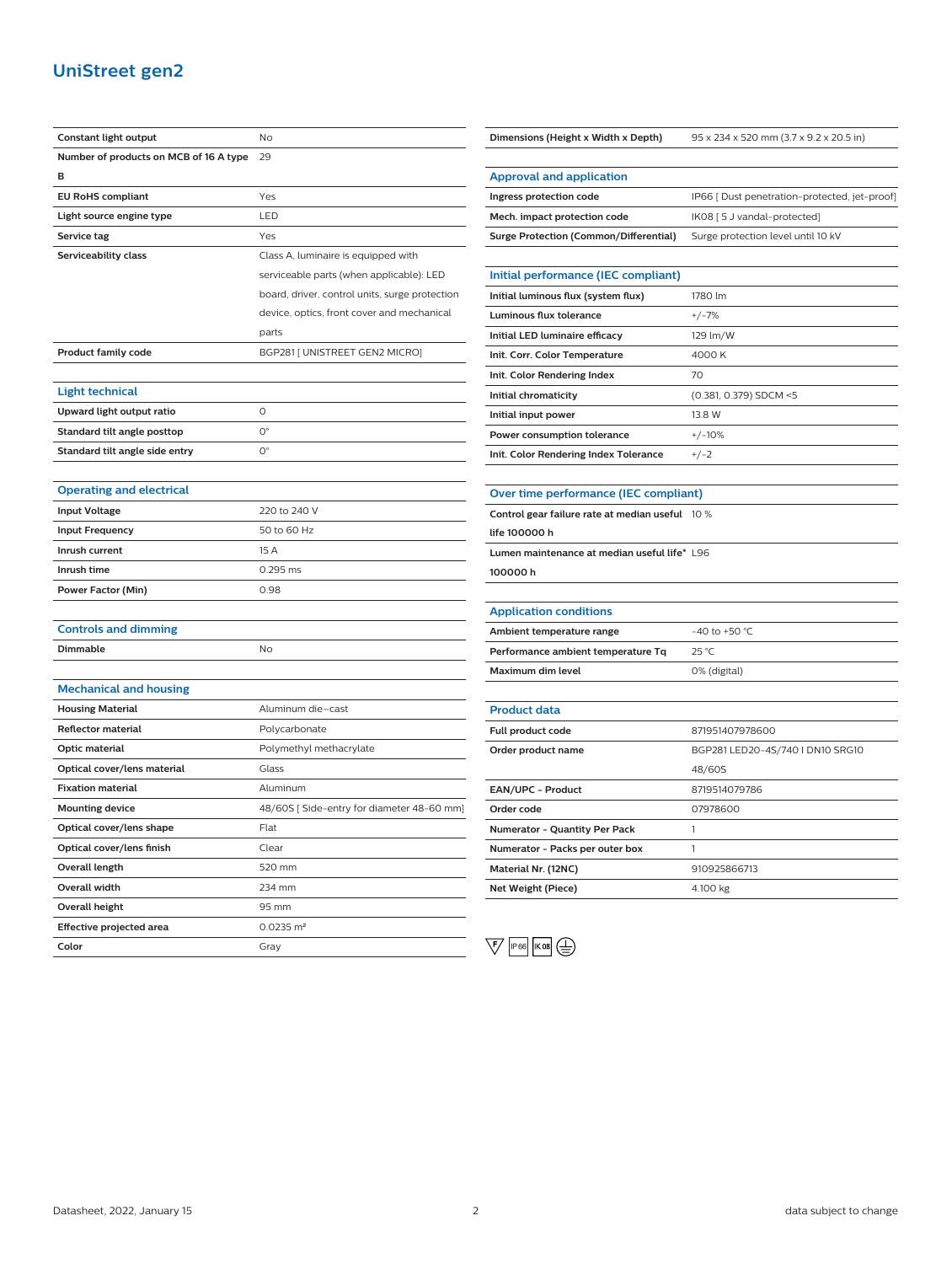## **UniStreet gen2**

| Constant light output                  | No                                             |
|----------------------------------------|------------------------------------------------|
| Number of products on MCB of 16 A type | 29                                             |
| в                                      |                                                |
| <b>EU RoHS compliant</b>               | Yes                                            |
| Light source engine type               | LED                                            |
| Service tag                            | Yes                                            |
| Serviceability class                   | Class A, luminaire is equipped with            |
|                                        | serviceable parts (when applicable): LED       |
|                                        | board, driver, control units, surge protection |
|                                        | device, optics, front cover and mechanical     |
|                                        | parts                                          |
| <b>Product family code</b>             | BGP281 [ UNISTREET GEN2 MICRO]                 |
|                                        |                                                |
| <b>Light technical</b>                 |                                                |
| Upward light output ratio              | O                                              |
| Standard tilt angle posttop            | $O^{\circ}$                                    |
| Standard tilt angle side entry         | 0°                                             |
|                                        |                                                |
| <b>Operating and electrical</b>        |                                                |
| <b>Input Voltage</b>                   | 220 to 240 V                                   |
| <b>Input Frequency</b>                 | 50 to 60 Hz                                    |
| Inrush current                         | 15 A                                           |
| Inrush time                            | 0.295 ms                                       |
| Power Factor (Min)                     | 0.98                                           |
|                                        |                                                |
| <b>Controls and dimming</b>            |                                                |
| Dimmable                               | No                                             |
|                                        |                                                |
| <b>Mechanical and housing</b>          |                                                |
| <b>Housing Material</b>                | Aluminum die-cast                              |
| <b>Reflector material</b>              | Polycarbonate                                  |
| Optic material                         | Polymethyl methacrylate                        |
| Optical cover/lens material            | Glass                                          |
| <b>Fixation material</b>               | Aluminum                                       |
| <b>Mounting device</b>                 | 48/60S [Side-entry for diameter 48-60 mm]      |
| Optical cover/lens shape               | Flat                                           |
| Optical cover/lens finish              | Clear                                          |
| <b>Overall length</b>                  | 520 mm                                         |
| Overall width                          | 234 mm                                         |
| Overall height                         | 95 mm                                          |
| <b>Effective projected area</b>        | $0.0235 \text{ m}^2$                           |
| Color                                  | Gray                                           |

| Dimensions (Height x Width x Depth)             | 95 x 234 x 520 mm (3.7 x 9.2 x 20.5 in)       |
|-------------------------------------------------|-----------------------------------------------|
|                                                 |                                               |
| <b>Approval and application</b>                 |                                               |
| Ingress protection code                         | IP66 [ Dust penetration-protected, jet-proof] |
| Mech. impact protection code                    | IK08 [5 J vandal-protected]                   |
| <b>Surge Protection (Common/Differential)</b>   | Surge protection level until 10 kV            |
|                                                 |                                               |
| Initial performance (IEC compliant)             |                                               |
| Initial luminous flux (system flux)             | 1780 lm                                       |
| <b>Luminous flux tolerance</b>                  | $+/-7%$                                       |
| Initial LED luminaire efficacy                  | 129 lm/W                                      |
| Init. Corr. Color Temperature                   | 4000 K                                        |
| Init. Color Rendering Index                     | 70                                            |
| Initial chromaticity                            | (0.381, 0.379) SDCM <5                        |
| Initial input power                             | 13.8 W                                        |
| Power consumption tolerance                     | $+/-10%$                                      |
| Init. Color Rendering Index Tolerance           | $+/-2$                                        |
|                                                 |                                               |
| Over time performance (IEC compliant)           |                                               |
| Control gear failure rate at median useful 10 % |                                               |
| life 100000 h                                   |                                               |
| Lumen maintenance at median useful life* L96    |                                               |
| 100000h                                         |                                               |
|                                                 |                                               |
| <b>Application conditions</b>                   |                                               |
| Ambient temperature range                       | -40 to +50 °C                                 |
| Performance ambient temperature Tq              | 25 °C                                         |
| Maximum dim level                               | 0% (digital)                                  |
|                                                 |                                               |
| <b>Product data</b>                             |                                               |
| Full product code                               | 871951407978600                               |
| Order product name                              | BGP281 LED20-4S/740 I DN10 SRG10              |
|                                                 | 48/60S                                        |
| EAN/UPC - Product                               | 8719514079786                                 |
| Order code                                      | 07978600                                      |
| Numerator - Quantity Per Pack                   | 1                                             |
| Numerator - Packs per outer box                 | 1                                             |
| Material Nr. (12NC)                             | 910925866713                                  |
| <b>Net Weight (Piece)</b>                       | 4.100 kg                                      |